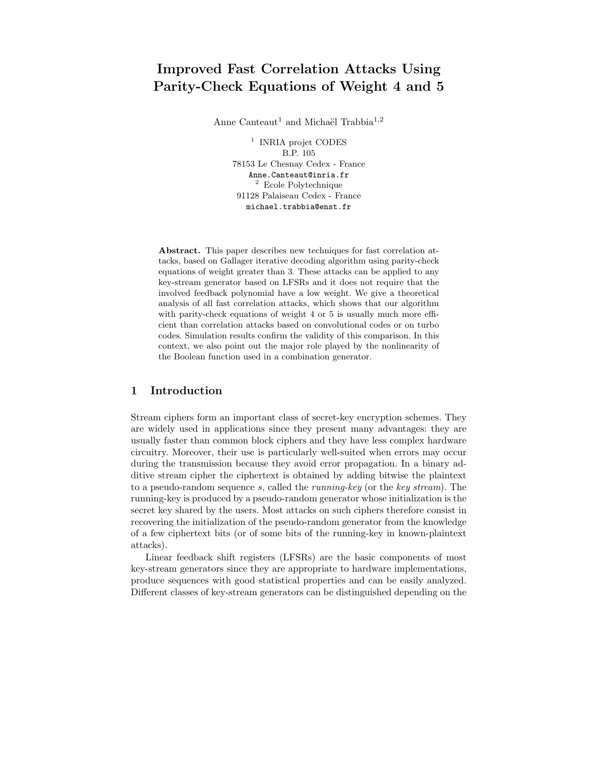# Improved Fast Correlation Attacks Using Parity-Check Equations of Weight 4 and 5

Anne Canteaut<sup>1</sup> and Michaël Trabbia<sup>1,2</sup>

1 INRIA projet CODES B.P. 105 78153 Le Chesnay Cedex - France Anne.Canteaut@inria.fr <sup>2</sup> Ecole Polytechnique 91128 Palaiseau Cedex - France michael.trabbia@enst.fr

Abstract. This paper describes new techniques for fast correlation attacks, based on Gallager iterative decoding algorithm using parity-check equations of weight greater than 3. These attacks can be applied to any key-stream generator based on LFSRs and it does not require that the involved feedback polynomial have a low weight. We give a theoretical analysis of all fast correlation attacks, which shows that our algorithm with parity-check equations of weight 4 or 5 is usually much more efficient than correlation attacks based on convolutional codes or on turbo codes. Simulation results confirm the validity of this comparison. In this context, we also point out the major role played by the nonlinearity of the Boolean function used in a combination generator.

### 1 Introduction

Stream ciphers form an important class of secret-key encryption schemes. They are widely used in applications since they present many advantages: they are usually faster than common block ciphers and they have less complex hardware circuitry. Moreover, their use is particularly well-suited when errors may occur during the transmission because they avoid error propagation. In a binary additive stream cipher the ciphertext is obtained by adding bitwise the plaintext to a pseudo-random sequence s, called the running-key (or the key stream). The running-key is produced by a pseudo-random generator whose initialization is the secret key shared by the users. Most attacks on such ciphers therefore consist in recovering the initialization of the pseudo-random generator from the knowledge of a few ciphertext bits (or of some bits of the running-key in known-plaintext attacks).

Linear feedback shift registers (LFSRs) are the basic components of most key-stream generators since they are appropriate to hardware implementations, produce sequences with good statistical properties and can be easily analyzed. Different classes of key-stream generators can be distinguished depending on the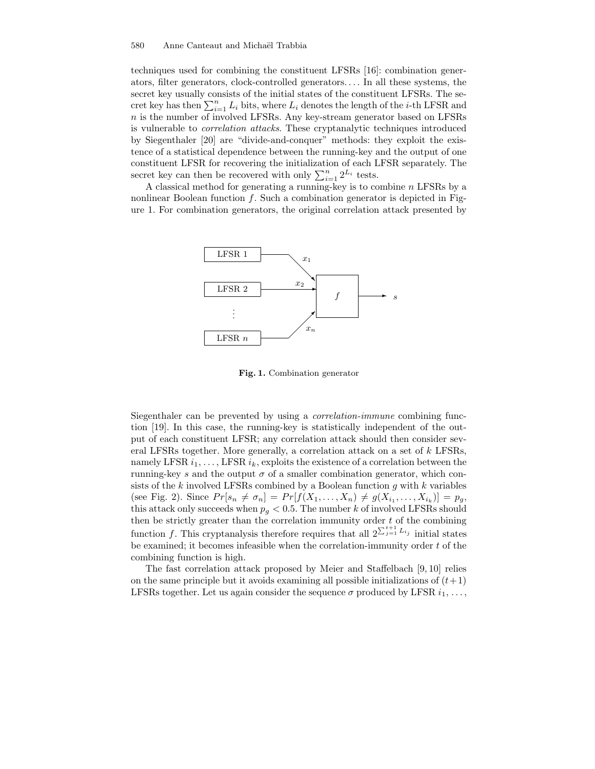techniques used for combining the constituent LFSRs [16]: combination generators, filter generators, clock-controlled generators. . . . In all these systems, the secret key usually consists of the initial states of the constituent LFSRs. The secret key has then  $\sum_{i=1}^{n} L_i$  bits, where  $L_i$  denotes the length of the *i*-th LFSR and  $n$  is the number of involved LFSRs. Any key-stream generator based on LFSRs is vulnerable to correlation attacks. These cryptanalytic techniques introduced by Siegenthaler [20] are "divide-and-conquer" methods: they exploit the existence of a statistical dependence between the running-key and the output of one constituent LFSR for recovering the initialization of each LFSR separately. The secret key can then be recovered with only  $\sum_{i=1}^{n} 2^{L_i}$  tests.

A classical method for generating a running-key is to combine n LFSRs by a nonlinear Boolean function  $f$ . Such a combination generator is depicted in Figure 1. For combination generators, the original correlation attack presented by



Fig. 1. Combination generator

Siegenthaler can be prevented by using a correlation-immune combining function [19]. In this case, the running-key is statistically independent of the output of each constituent LFSR; any correlation attack should then consider several LFSRs together. More generally, a correlation attack on a set of k LFSRs, namely LFSR  $i_1, \ldots,$  LFSR  $i_k$ , exploits the existence of a correlation between the running-key s and the output  $\sigma$  of a smaller combination generator, which consists of the  $k$  involved LFSRs combined by a Boolean function  $g$  with  $k$  variables (see Fig. 2). Since  $Pr[s_n \neq \sigma_n] = Pr[f(X_1, ..., X_n) \neq g(X_{i_1}, ..., X_{i_k})] = p_g$ , this attack only succeeds when  $p_q < 0.5$ . The number k of involved LFSRs should then be strictly greater than the correlation immunity order  $t$  of the combining function f. This cryptanalysis therefore requires that all  $2^{\sum_{j=1}^{t+1} L_{i_j}}$  initial states be examined; it becomes infeasible when the correlation-immunity order  $t$  of the combining function is high.

The fast correlation attack proposed by Meier and Staffelbach [9, 10] relies on the same principle but it avoids examining all possible initializations of  $(t+1)$ LFSRs together. Let us again consider the sequence  $\sigma$  produced by LFSR  $i_1, \ldots,$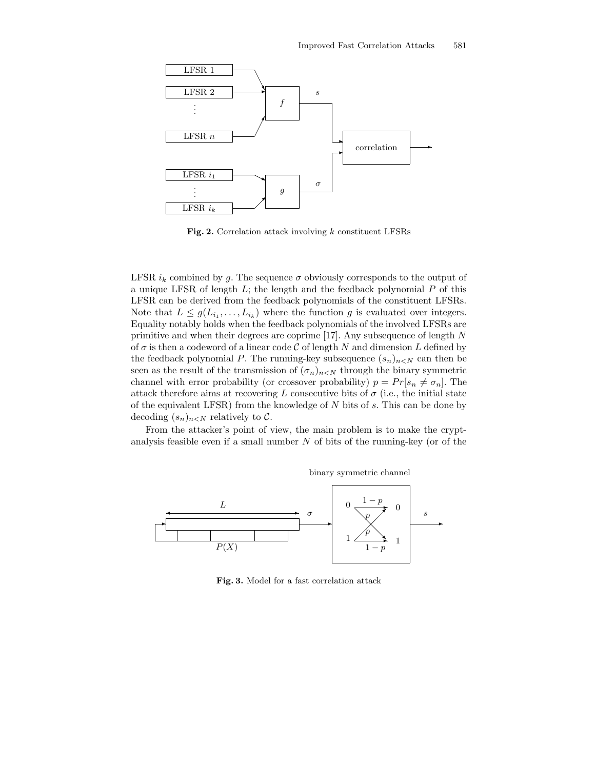

Fig. 2. Correlation attack involving  $k$  constituent LFSRs

LFSR  $i_k$  combined by g. The sequence  $\sigma$  obviously corresponds to the output of a unique LFSR of length  $L$ ; the length and the feedback polynomial  $P$  of this LFSR can be derived from the feedback polynomials of the constituent LFSRs. Note that  $L \leq g(L_{i_1},..., L_{i_k})$  where the function g is evaluated over integers. Equality notably holds when the feedback polynomials of the involved LFSRs are primitive and when their degrees are coprime [17]. Any subsequence of length N of  $\sigma$  is then a codeword of a linear code  $\mathcal C$  of length N and dimension L defined by the feedback polynomial P. The running-key subsequence  $(s_n)_{n\leq N}$  can then be seen as the result of the transmission of  $(\sigma_n)_{n\leq N}$  through the binary symmetric channel with error probability (or crossover probability)  $p = Pr[s_n \neq \sigma_n]$ . The attack therefore aims at recovering L consecutive bits of  $\sigma$  (i.e., the initial state of the equivalent LFSR) from the knowledge of  $N$  bits of  $s$ . This can be done by decoding  $(s_n)_{n\leq N}$  relatively to C.

From the attacker's point of view, the main problem is to make the cryptanalysis feasible even if a small number  $N$  of bits of the running-key (or of the



Fig. 3. Model for a fast correlation attack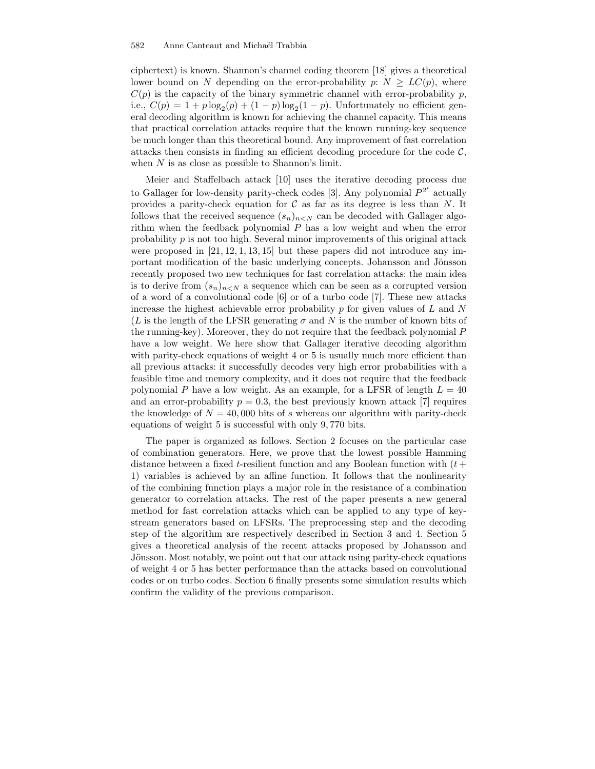ciphertext) is known. Shannon's channel coding theorem [18] gives a theoretical lower bound on N depending on the error-probability  $p: N \ge LC(p)$ , where  $C(p)$  is the capacity of the binary symmetric channel with error-probability p, i.e.,  $C(p) = 1 + p \log_2(p) + (1 - p) \log_2(1 - p)$ . Unfortunately no efficient general decoding algorithm is known for achieving the channel capacity. This means that practical correlation attacks require that the known running-key sequence be much longer than this theoretical bound. Any improvement of fast correlation attacks then consists in finding an efficient decoding procedure for the code  $C$ , when  $N$  is as close as possible to Shannon's limit.

Meier and Staffelbach attack [10] uses the iterative decoding process due to Gallager for low-density parity-check codes [3]. Any polynomial  $P^{2^i}$  actually provides a parity-check equation for  $\mathcal C$  as far as its degree is less than N. It follows that the received sequence  $(s_n)_{n\leq N}$  can be decoded with Gallager algorithm when the feedback polynomial  $P$  has a low weight and when the error probability  $p$  is not too high. Several minor improvements of this original attack were proposed in  $[21, 12, 1, 13, 15]$  but these papers did not introduce any important modification of the basic underlying concepts. Johansson and Jönsson recently proposed two new techniques for fast correlation attacks: the main idea is to derive from  $(s_n)_{n\leq N}$  a sequence which can be seen as a corrupted version of a word of a convolutional code [6] or of a turbo code [7]. These new attacks increase the highest achievable error probability  $p$  for given values of  $L$  and  $N$ (L is the length of the LFSR generating  $\sigma$  and N is the number of known bits of the running-key). Moreover, they do not require that the feedback polynomial P have a low weight. We here show that Gallager iterative decoding algorithm with parity-check equations of weight 4 or 5 is usually much more efficient than all previous attacks: it successfully decodes very high error probabilities with a feasible time and memory complexity, and it does not require that the feedback polynomial P have a low weight. As an example, for a LFSR of length  $L = 40$ and an error-probability  $p = 0.3$ , the best previously known attack [7] requires the knowledge of  $N = 40,000$  bits of s whereas our algorithm with parity-check equations of weight 5 is successful with only 9, 770 bits.

The paper is organized as follows. Section 2 focuses on the particular case of combination generators. Here, we prove that the lowest possible Hamming distance between a fixed t-resilient function and any Boolean function with  $(t +$ 1) variables is achieved by an affine function. It follows that the nonlinearity of the combining function plays a major role in the resistance of a combination generator to correlation attacks. The rest of the paper presents a new general method for fast correlation attacks which can be applied to any type of keystream generators based on LFSRs. The preprocessing step and the decoding step of the algorithm are respectively described in Section 3 and 4. Section 5 gives a theoretical analysis of the recent attacks proposed by Johansson and Jönsson. Most notably, we point out that our attack using parity-check equations of weight 4 or 5 has better performance than the attacks based on convolutional codes or on turbo codes. Section 6 finally presents some simulation results which confirm the validity of the previous comparison.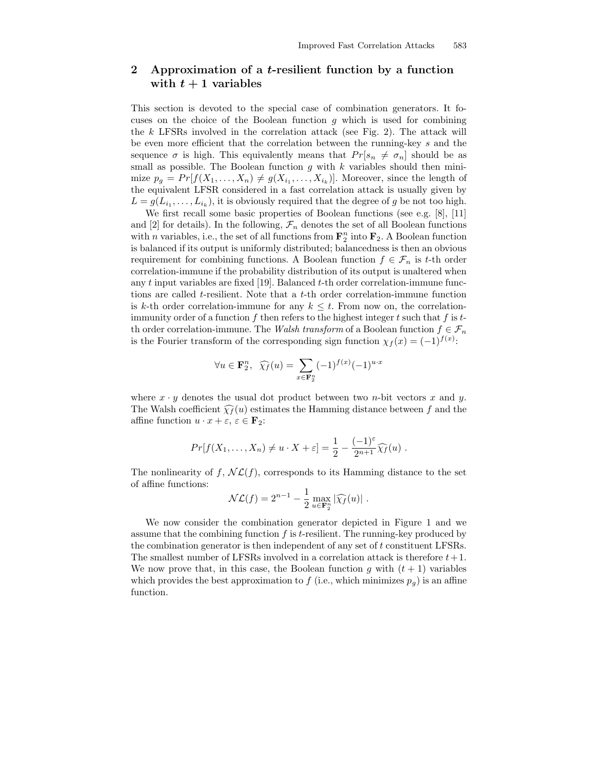## 2 Approximation of a t-resilient function by a function with  $t + 1$  variables

This section is devoted to the special case of combination generators. It focuses on the choice of the Boolean function  $q$  which is used for combining the  $k$  LFSRs involved in the correlation attack (see Fig. 2). The attack will be even more efficient that the correlation between the running-key s and the sequence  $\sigma$  is high. This equivalently means that  $Pr[s_n \neq \sigma_n]$  should be as small as possible. The Boolean function  $g$  with  $k$  variables should then minimize  $p_g = Pr[f(X_1, \ldots, X_n) \neq g(X_{i_1}, \ldots, X_{i_k})]$ . Moreover, since the length of the equivalent LFSR considered in a fast correlation attack is usually given by  $L = g(L_{i_1}, \ldots, L_{i_k})$ , it is obviously required that the degree of g be not too high.

We first recall some basic properties of Boolean functions (see e.g. [8], [11] and [2] for details). In the following,  $\mathcal{F}_n$  denotes the set of all Boolean functions with *n* variables, i.e., the set of all functions from  $\mathbf{F}_2^n$  into  $\mathbf{F}_2$ . A Boolean function is balanced if its output is uniformly distributed; balancedness is then an obvious requirement for combining functions. A Boolean function  $f \in \mathcal{F}_n$  is t-th order correlation-immune if the probability distribution of its output is unaltered when any  $t$  input variables are fixed [19]. Balanced  $t$ -th order correlation-immune functions are called t-resilient. Note that a t-th order correlation-immune function is k-th order correlation-immune for any  $k \leq t$ . From now on, the correlationimmunity order of a function f then refers to the highest integer t such that f is tth order correlation-immune. The Walsh transform of a Boolean function  $f \in \mathcal{F}_n$ is the Fourier transform of the corresponding sign function  $\chi_f(x) = (-1)^{f(x)}$ :

$$
\forall u \in \mathbf{F}_2^n, \ \widehat{\chi_f}(u) = \sum_{x \in \mathbf{F}_2^n} (-1)^{f(x)} (-1)^{u \cdot x}
$$

where  $x \cdot y$  denotes the usual dot product between two *n*-bit vectors x and y. The Walsh coefficient  $\widehat{\chi}_f(u)$  estimates the Hamming distance between f and the affine function  $u \cdot x + \varepsilon$ ,  $\varepsilon \in \mathbf{F}_2$ :

$$
Pr[f(X_1,\ldots,X_n)\neq u\cdot X+\varepsilon]=\frac{1}{2}-\frac{(-1)^{\varepsilon}}{2^{n+1}}\widehat{\chi_f}(u).
$$

The nonlinearity of f,  $N\mathcal{L}(f)$ , corresponds to its Hamming distance to the set of affine functions:

$$
\mathcal{NL}(f) = 2^{n-1} - \frac{1}{2} \max_{u \in \mathbf{F}_2^n} |\widehat{\chi_f}(u)|.
$$

We now consider the combination generator depicted in Figure 1 and we assume that the combining function  $f$  is  $t$ -resilient. The running-key produced by the combination generator is then independent of any set of t constituent LFSRs. The smallest number of LFSRs involved in a correlation attack is therefore  $t+1$ . We now prove that, in this case, the Boolean function g with  $(t + 1)$  variables which provides the best approximation to f (i.e., which minimizes  $p_q$ ) is an affine function.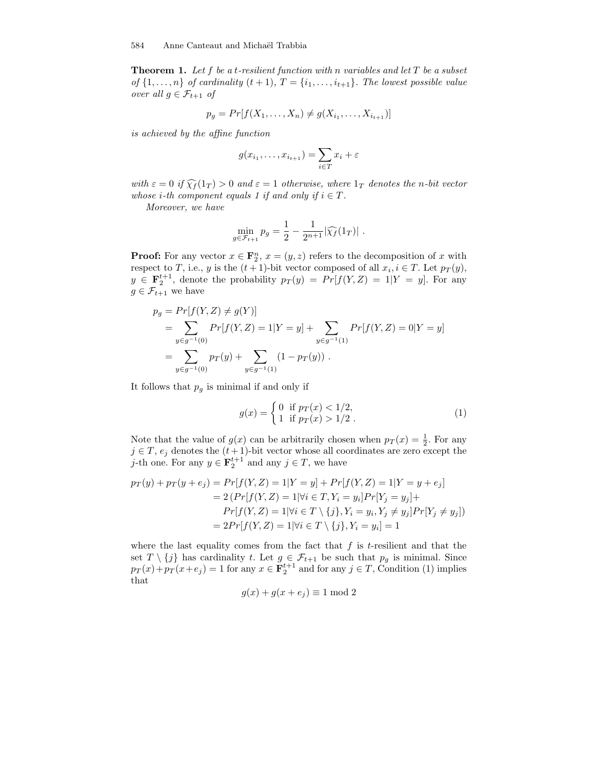**Theorem 1.** Let f be a t-resilient function with n variables and let  $T$  be a subset of  $\{1,\ldots,n\}$  of cardinality  $(t+1)$ ,  $T = \{i_1,\ldots,i_{t+1}\}$ . The lowest possible value over all  $g \in \mathcal{F}_{t+1}$  of

$$
p_g = Pr[f(X_1, ..., X_n) \neq g(X_{i_1}, ..., X_{i_{t+1}})]
$$

is achieved by the affine function

$$
g(x_{i_1},\ldots,x_{i_{t+1}})=\sum_{i\in T}x_i+\varepsilon
$$

with  $\varepsilon = 0$  if  $\widehat{\chi}_f(1_T) > 0$  and  $\varepsilon = 1$  otherwise, where  $1_T$  denotes the n-bit vector whose *i*-th component equals 1 if and only if  $i \in T$ .

Moreover, we have

$$
\min_{g \in \mathcal{F}_{t+1}} p_g = \frac{1}{2} - \frac{1}{2^{n+1}} |\widehat{\chi_f}(1_T)| \ .
$$

**Proof:** For any vector  $x \in \mathbf{F}_2^n$ ,  $x = (y, z)$  refers to the decomposition of x with respect to T, i.e., y is the  $(t+1)$ -bit vector composed of all  $x_i, i \in T$ . Let  $p_T(y)$ ,  $y \in \mathbf{F}_2^{t+1}$ , denote the probability  $p_T(y) = Pr[f(Y, Z) = 1 | Y = y]$ . For any  $g \in \mathcal{F}_{t+1}$  we have

$$
p_g = Pr[f(Y, Z) \neq g(Y)]
$$
  
= 
$$
\sum_{y \in g^{-1}(0)} Pr[f(Y, Z) = 1 | Y = y] + \sum_{y \in g^{-1}(1)} Pr[f(Y, Z) = 0 | Y = y]
$$
  
= 
$$
\sum_{y \in g^{-1}(0)} pr(y) + \sum_{y \in g^{-1}(1)} (1 - pr(y)).
$$

It follows that  $p_g$  is minimal if and only if

$$
g(x) = \begin{cases} 0 & \text{if } p_T(x) < 1/2, \\ 1 & \text{if } p_T(x) > 1/2. \end{cases}
$$
 (1)

Note that the value of  $g(x)$  can be arbitrarily chosen when  $p_T(x) = \frac{1}{2}$ . For any  $j \in T$ ,  $e_j$  denotes the  $(t+1)$ -bit vector whose all coordinates are zero except the j-th one. For any  $y \in \mathbf{F}_2^{t+1}$  and any  $j \in T$ , we have

$$
p_T(y) + p_T(y + e_j) = Pr[f(Y, Z) = 1|Y = y] + Pr[f(Y, Z) = 1|Y = y + e_j]
$$
  
= 2 (Pr[f(Y, Z) = 1|\forall i \in T, Y\_i = y\_i]Pr[Y\_j = y\_j] +  
Pr[f(Y, Z) = 1|\forall i \in T \setminus \{j\}, Y\_i = y\_i, Y\_j \neq y\_j]Pr[Y\_j \neq y\_j])  
= 2Pr[f(Y, Z) = 1|\forall i \in T \setminus \{j\}, Y\_i = y\_i] = 1

where the last equality comes from the fact that  $f$  is  $t$ -resilient and that the set  $T \setminus \{j\}$  has cardinality t. Let  $g \in \mathcal{F}_{t+1}$  be such that  $p_g$  is minimal. Since  $p_T(x) + p_T(x + e_j) = 1$  for any  $x \in \mathbf{F}_2^{t+1}$  and for any  $j \in T$ , Condition (1) implies that

$$
g(x) + g(x + e_j) \equiv 1 \bmod 2
$$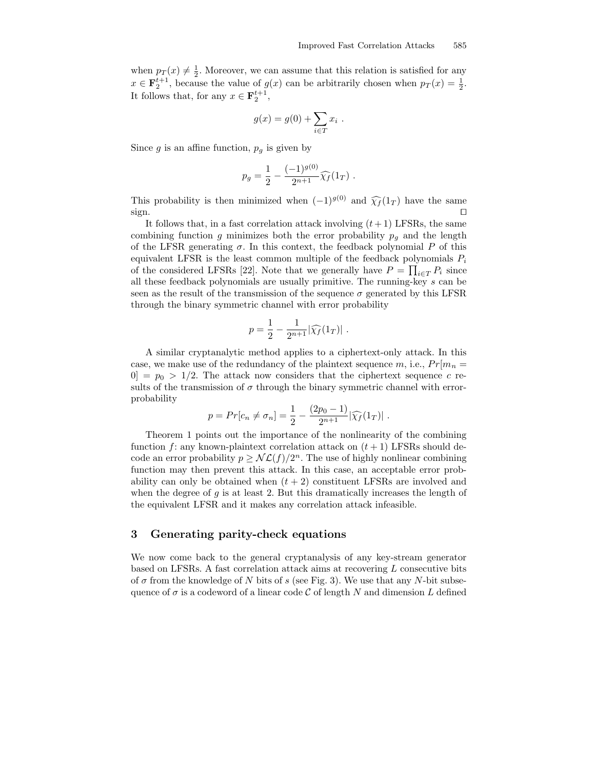when  $p_T(x) \neq \frac{1}{2}$ . Moreover, we can assume that this relation is satisfied for any  $x \in \mathbf{F}_2^{t+1}$ , because the value of  $g(x)$  can be arbitrarily chosen when  $p_T(x) = \frac{1}{2}$ . It follows that, for any  $x \in \mathbf{F}_2^{t+1}$ ,

$$
g(x) = g(0) + \sum_{i \in T} x_i .
$$

Since  $g$  is an affine function,  $p_g$  is given by

$$
p_g = \frac{1}{2} - \frac{(-1)^{g(0)}}{2^{n+1}} \widehat{\chi_f}(1_T) .
$$

This probability is then minimized when  $(-1)^{g(0)}$  and  $\widehat{\chi}_f(1_T)$  have the same sign.  $\Box$  sign.

It follows that, in a fast correlation attack involving  $(t+1)$  LFSRs, the same combining function g minimizes both the error probability  $p_q$  and the length of the LFSR generating  $\sigma$ . In this context, the feedback polynomial P of this equivalent LFSR is the least common multiple of the feedback polynomials  $P_i$ of the considered LFSRs [22]. Note that we generally have  $P = \prod_{i \in T} P_i$  since all these feedback polynomials are usually primitive. The running-key s can be seen as the result of the transmission of the sequence  $\sigma$  generated by this LFSR through the binary symmetric channel with error probability

$$
p = \frac{1}{2} - \frac{1}{2^{n+1}} |\widehat{\chi_f}(1_T)| \; .
$$

A similar cryptanalytic method applies to a ciphertext-only attack. In this case, we make use of the redundancy of the plaintext sequence m, i.e.,  $Pr[m_n =$  $[0] = p_0 > 1/2$ . The attack now considers that the ciphertext sequence c results of the transmission of  $\sigma$  through the binary symmetric channel with errorprobability

$$
p = Pr[c_n \neq \sigma_n] = \frac{1}{2} - \frac{(2p_0 - 1)}{2^{n+1}} |\widehat{\chi_f}(1_T)|.
$$

Theorem 1 points out the importance of the nonlinearity of the combining function f: any known-plaintext correlation attack on  $(t + 1)$  LFSRs should decode an error probability  $p \geq N\mathcal{L}(f)/2^n$ . The use of highly nonlinear combining function may then prevent this attack. In this case, an acceptable error probability can only be obtained when  $(t + 2)$  constituent LFSRs are involved and when the degree of  $q$  is at least 2. But this dramatically increases the length of the equivalent LFSR and it makes any correlation attack infeasible.

#### 3 Generating parity-check equations

We now come back to the general cryptanalysis of any key-stream generator based on LFSRs. A fast correlation attack aims at recovering L consecutive bits of  $\sigma$  from the knowledge of N bits of s (see Fig. 3). We use that any N-bit subsequence of  $\sigma$  is a codeword of a linear code C of length N and dimension L defined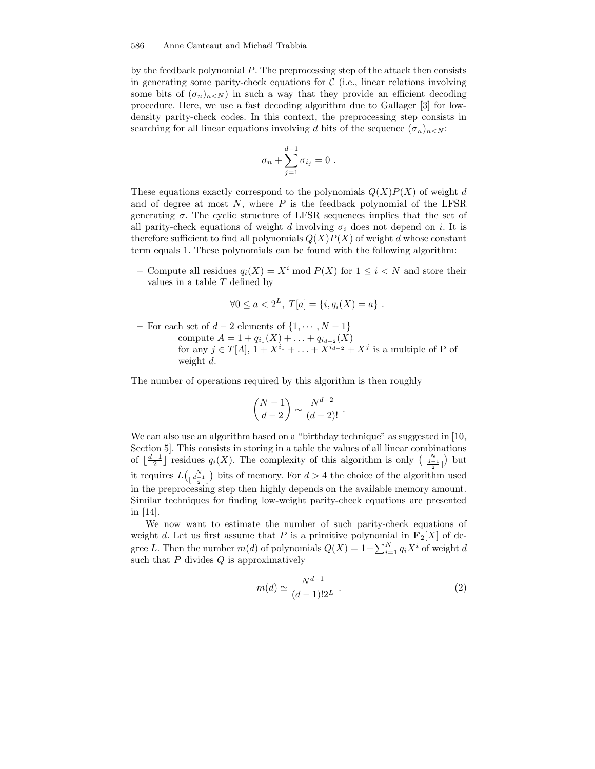by the feedback polynomial  $P$ . The preprocessing step of the attack then consists in generating some parity-check equations for  $\mathcal C$  (i.e., linear relations involving some bits of  $(\sigma_n)_{n\leq N}$  in such a way that they provide an efficient decoding procedure. Here, we use a fast decoding algorithm due to Gallager [3] for lowdensity parity-check codes. In this context, the preprocessing step consists in searching for all linear equations involving d bits of the sequence  $(\sigma_n)_{n \leq N}$ :

$$
\sigma_n + \sum_{j=1}^{d-1} \sigma_{i_j} = 0 \ .
$$

These equations exactly correspond to the polynomials  $Q(X)P(X)$  of weight d and of degree at most  $N$ , where  $P$  is the feedback polynomial of the LFSR generating  $\sigma$ . The cyclic structure of LFSR sequences implies that the set of all parity-check equations of weight d involving  $\sigma_i$  does not depend on i. It is therefore sufficient to find all polynomials  $Q(X)P(X)$  of weight d whose constant term equals 1. These polynomials can be found with the following algorithm:

– Compute all residues  $q_i(X) = X^i \text{ mod } P(X)$  for  $1 \leq i \leq N$  and store their values in a table  $T$  defined by

$$
\forall 0 \le a < 2^L, \ T[a] = \{i, q_i(X) = a\} \ .
$$

– For each set of  $d-2$  elements of  $\{1, \dots, N-1\}$ compute  $A = 1 + q_{i_1}(X) + \ldots + q_{i_{d-2}}(X)$ for any  $j \in T[A], 1 + X^{i_1} + \ldots + X^{i_{d-2}} + X^j$  is a multiple of P of weight d.

The number of operations required by this algorithm is then roughly

$$
\binom{N-1}{d-2} \sim \frac{N^{d-2}}{(d-2)!}.
$$

We can also use an algorithm based on a "birthday technique" as suggested in [10, Section 5]. This consists in storing in a table the values of all linear combinations of  $\lfloor \frac{d-1}{2} \rfloor$  residues  $q_i(X)$ . The complexity of this algorithm is only  $\binom{N}{\lceil \frac{d-1}{2} \rceil}$  but it requires  $L\begin{pmatrix} N \\ \frac{d-1}{2} \end{pmatrix}$  bits of memory. For  $d > 4$  the choice of the algorithm used in the preprocessing step then highly depends on the available memory amount. Similar techniques for finding low-weight parity-check equations are presented in [14].

We now want to estimate the number of such parity-check equations of weight d. Let us first assume that P is a primitive polynomial in  $\mathbf{F}_2[X]$  of degree L. Then the number  $m(d)$  of polynomials  $Q(X) = 1 + \sum_{i=1}^{N} q_i X^i$  of weight d such that  $P$  divides  $Q$  is approximatively

$$
m(d) \simeq \frac{N^{d-1}}{(d-1)!2^L} \ . \tag{2}
$$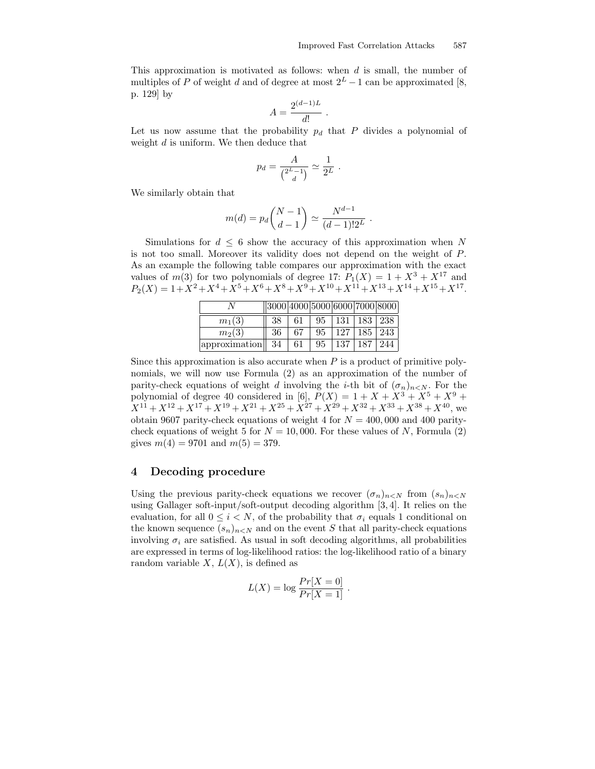.

This approximation is motivated as follows: when d is small, the number of multiples of P of weight d and of degree at most  $2^L - 1$  can be approximated [8, p. 129] by

$$
A = \frac{2^{(d-1)L}}{d!}.
$$

Let us now assume that the probability  $p_d$  that P divides a polynomial of weight  $d$  is uniform. We then deduce that

$$
p_d = \frac{A}{\binom{2^L-1}{d}} \simeq \frac{1}{2^L}.
$$

We similarly obtain that

$$
m(d) = p_d \binom{N-1}{d-1} \simeq \frac{N^{d-1}}{(d-1)!2^L}
$$

Simulations for  $d \leq 6$  show the accuracy of this approximation when N is not too small. Moreover its validity does not depend on the weight of P. As an example the following table compares our approximation with the exact values of  $m(3)$  for two polynomials of degree 17:  $P_1(X) = 1 + X^3 + X^{17}$  and  $P_2(X) = 1 + X^2 + X^4 + X^5 + X^6 + X^8 + X^9 + X^{10} + X^{11} + X^{13} + X^{14} + X^{15} + X^{17}.$ 

|                           | 3000 4000 5000 6000 7000 8000 |     |  |                                 |  |
|---------------------------|-------------------------------|-----|--|---------------------------------|--|
| $m_1(3)$                  | -38                           | 61  |  | $95 \mid 131 \mid 183 \mid 238$ |  |
| $m_2(3)$                  | -36                           | 67  |  | 95   127   185   243            |  |
| approximation $\sqrt{34}$ |                               | -61 |  | $95 \mid 137 \mid 187 \mid 244$ |  |

Since this approximation is also accurate when  $P$  is a product of primitive polynomials, we will now use Formula (2) as an approximation of the number of parity-check equations of weight d involving the *i*-th bit of  $(\sigma_n)_{n \leq N}$ . For the polynomial of degree 40 considered in [6],  $P(X) = 1 + X + X^3 + X^5 + X^9 +$  $X^{11} + X^{12} + X^{17} + X^{19} + X^{21} + X^{25} + X^{27} + X^{29} + X^{32} + X^{33} + X^{38} + X^{40}$ , we obtain 9607 parity-check equations of weight 4 for  $N = 400,000$  and 400 paritycheck equations of weight 5 for  $N = 10,000$ . For these values of N, Formula (2) gives  $m(4) = 9701$  and  $m(5) = 379$ .

### 4 Decoding procedure

Using the previous parity-check equations we recover  $(\sigma_n)_{n\leq N}$  from  $(s_n)_{n\leq N}$ using Gallager soft-input/soft-output decoding algorithm [3, 4]. It relies on the evaluation, for all  $0 \leq i \leq N$ , of the probability that  $\sigma_i$  equals 1 conditional on the known sequence  $(s_n)_{n\leq N}$  and on the event S that all parity-check equations involving  $\sigma_i$  are satisfied. As usual in soft decoding algorithms, all probabilities are expressed in terms of log-likelihood ratios: the log-likelihood ratio of a binary random variable  $X, L(X)$ , is defined as

$$
L(X) = \log \frac{Pr[X=0]}{Pr[X=1]}.
$$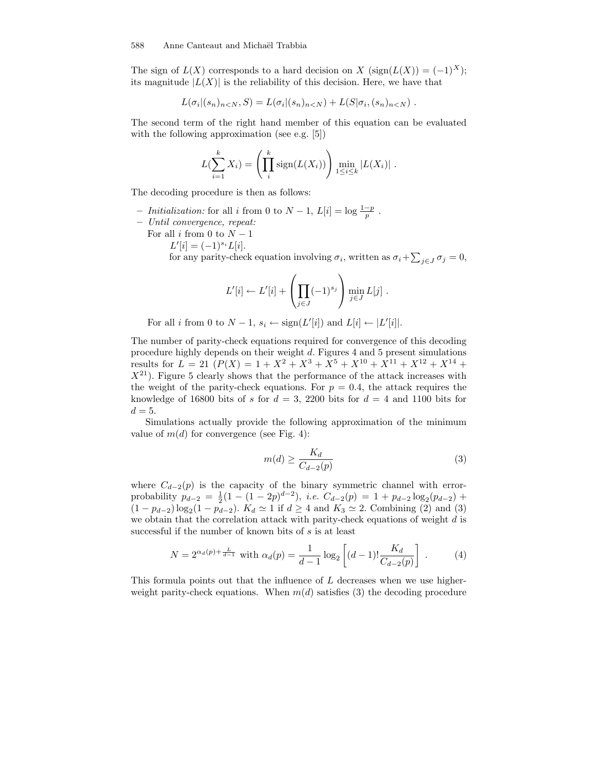The sign of  $L(X)$  corresponds to a hard decision on X (sign( $L(X)$ ) = (-1)<sup>X</sup>); its magnitude  $|L(X)|$  is the reliability of this decision. Here, we have that

$$
L(\sigma_i|(s_n)_{n\lt N}, S) = L(\sigma_i|(s_n)_{n\lt N}) + L(S|\sigma_i, (s_n)_{n\lt N}).
$$

The second term of the right hand member of this equation can be evaluated with the following approximation (see e.g. [5])

$$
L(\sum_{i=1}^k X_i) = \left(\prod_{i=1}^k \operatorname{sign}(L(X_i))\right) \min_{1 \le i \le k} |L(X_i)|.
$$

The decoding procedure is then as follows:

- *Initialization:* for all *i* from 0 to  $N-1$ ,  $L[i] = \log \frac{1-p}{p}$ .
- Until convergence, repeat:
	- For all i from 0 to  $N-1$ 
		- $L'[i] = (-1)^{s_i} L[i].$

for any parity-check equation involving  $\sigma_i$ , written as  $\sigma_i + \sum_{j \in J} \sigma_j = 0$ ,

$$
L'[i] \leftarrow L'[i] + \left(\prod_{j \in J} (-1)^{s_j}\right) \min_{j \in J} L[j].
$$

For all *i* from 0 to  $N-1$ ,  $s_i \leftarrow sign(L'[i])$  and  $L[i] \leftarrow |L'[i]|$ .

The number of parity-check equations required for convergence of this decoding procedure highly depends on their weight d. Figures 4 and 5 present simulations results for  $L = 21$   $(P(X) = 1 + X^2 + X^3 + X^5 + X^{10} + X^{11} + X^{12} + X^{14} + X^{15} + X^{16} + X^{17} + X^{18} + X^{19} + X^{19} + X^{10} + X^{10} + X^{11} + X^{12} + X^{14} + X^{15} + X^{16} + X^{17} + X^{18} + X^{19} + X^{10} + X^{10} + X^{11} + X^{12} + X^{14} + X^{15} + X^{16} + X^{17} + X^{18} + X^{19} + X$  $X^{21}$ ). Figure 5 clearly shows that the performance of the attack increases with the weight of the parity-check equations. For  $p = 0.4$ , the attack requires the knowledge of 16800 bits of s for  $d = 3$ , 2200 bits for  $d = 4$  and 1100 bits for  $d = 5$ .

Simulations actually provide the following approximation of the minimum value of  $m(d)$  for convergence (see Fig. 4):

$$
m(d) \ge \frac{K_d}{C_{d-2}(p)}\tag{3}
$$

where  $C_{d-2}(p)$  is the capacity of the binary symmetric channel with errorprobability  $p_{d-2} = \frac{1}{2}(1 - (1 - 2p)^{d-2}), i.e. C_{d-2}(p) = 1 + p_{d-2}\log_2(p_{d-2})$  $(1 - p_{d-2}) \log_2(1 - p_{d-2})$ .  $K_d \simeq 1$  if  $d \geq 4$  and  $K_3 \simeq 2$ . Combining (2) and (3) we obtain that the correlation attack with parity-check equations of weight  $d$  is successful if the number of known bits of s is at least

$$
N = 2^{\alpha_d(p) + \frac{L}{d-1}} \text{ with } \alpha_d(p) = \frac{1}{d-1} \log_2 \left[ (d-1)! \frac{K_d}{C_{d-2}(p)} \right] . \tag{4}
$$

This formula points out that the influence of L decreases when we use higherweight parity-check equations. When  $m(d)$  satisfies (3) the decoding procedure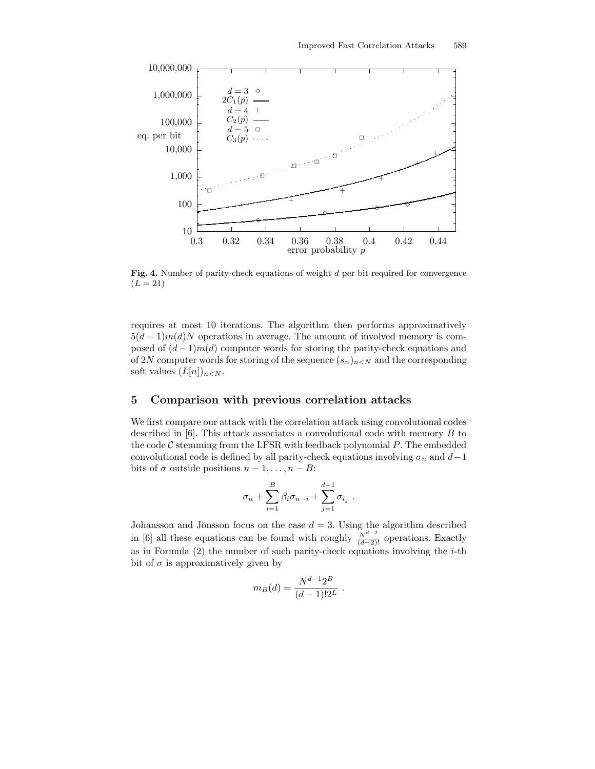

Fig. 4. Number of parity-check equations of weight d per bit required for convergence  $(L = 21)$ 

requires at most 10 iterations. The algorithm then performs approximatively  $5(d-1)m(d)N$  operations in average. The amount of involved memory is composed of  $(d-1)m(d)$  computer words for storing the parity-check equations and of 2N computer words for storing of the sequence  $(s_n)_{n\leq N}$  and the corresponding soft values  $(L[n])_{n\lt N}$ .

### 5 Comparison with previous correlation attacks

We first compare our attack with the correlation attack using convolutional codes described in  $[6]$ . This attack associates a convolutional code with memory  $B$  to the code  $C$  stemming from the LFSR with feedback polynomial  $P$ . The embedded convolutional code is defined by all parity-check equations involving  $\sigma_n$  and  $d-1$ bits of  $\sigma$  outside positions  $n-1, \ldots, n-B$ :

$$
\sigma_n + \sum_{i=1}^B \beta_i \sigma_{n-i} + \sum_{j=1}^{d-1} \sigma_{i_j} .
$$

Johansson and Jönsson focus on the case  $d = 3$ . Using the algorithm described in [6] all these equations can be found with roughly  $\frac{N^{d-2}}{(d-2)!}$  operations. Exactly as in Formula  $(2)$  the number of such parity-check equations involving the *i*-th bit of  $\sigma$  is approximatively given by

$$
m_B(d) = \frac{N^{d-1}2^B}{(d-1)!2^L}.
$$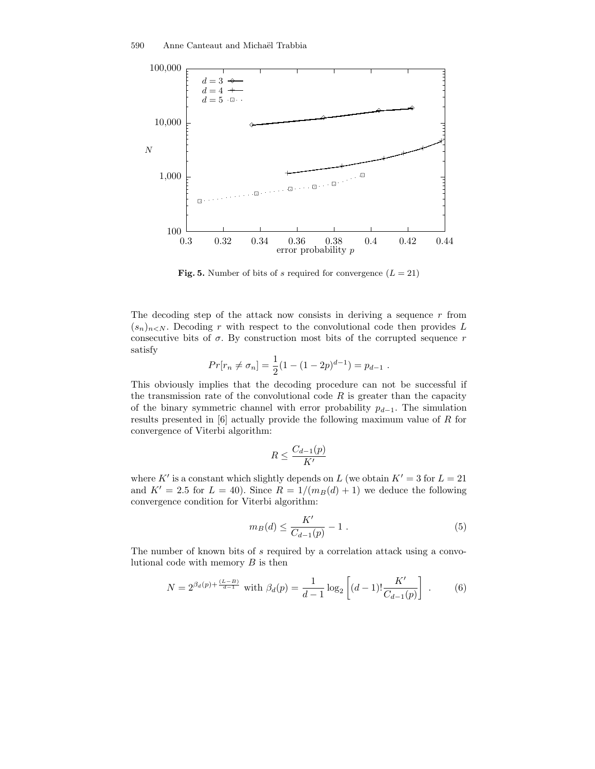

Fig. 5. Number of bits of s required for convergence  $(L = 21)$ 

The decoding step of the attack now consists in deriving a sequence  $r$  from  $(s_n)_{n\leq N}$ . Decoding r with respect to the convolutional code then provides L consecutive bits of  $\sigma$ . By construction most bits of the corrupted sequence r satisfy

$$
Pr[r_n \neq \sigma_n] = \frac{1}{2}(1 - (1 - 2p)^{d-1}) = p_{d-1}.
$$

This obviously implies that the decoding procedure can not be successful if the transmission rate of the convolutional code  $R$  is greater than the capacity of the binary symmetric channel with error probability  $p_{d-1}$ . The simulation results presented in [6] actually provide the following maximum value of R for convergence of Viterbi algorithm:

$$
R \leq \frac{C_{d-1}(p)}{K'}
$$

where K' is a constant which slightly depends on L (we obtain  $K' = 3$  for  $L = 21$ and  $K' = 2.5$  for  $L = 40$ ). Since  $R = 1/(m_B(d) + 1)$  we deduce the following convergence condition for Viterbi algorithm:

$$
m_B(d) \le \frac{K'}{C_{d-1}(p)} - 1 \tag{5}
$$

The number of known bits of s required by a correlation attack using a convolutional code with memory  $B$  is then

$$
N = 2^{\beta_d(p) + \frac{(L-B)}{d-1}} \text{ with } \beta_d(p) = \frac{1}{d-1} \log_2 \left[ (d-1)! \frac{K'}{C_{d-1}(p)} \right] . \tag{6}
$$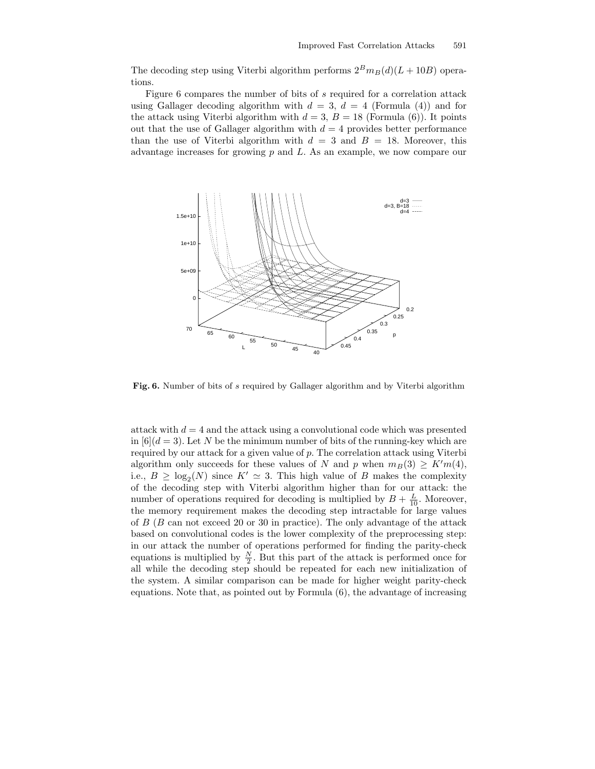The decoding step using Viterbi algorithm performs  $2^B m_B(d)(L + 10B)$  operations.

Figure 6 compares the number of bits of s required for a correlation attack using Gallager decoding algorithm with  $d = 3$ ,  $d = 4$  (Formula (4)) and for the attack using Viterbi algorithm with  $d = 3$ ,  $B = 18$  (Formula (6)). It points out that the use of Gallager algorithm with  $d = 4$  provides better performance than the use of Viterbi algorithm with  $d = 3$  and  $B = 18$ . Moreover, this advantage increases for growing  $p$  and  $L$ . As an example, we now compare our



Fig. 6. Number of bits of s required by Gallager algorithm and by Viterbi algorithm

attack with  $d = 4$  and the attack using a convolutional code which was presented in  $[6](d=3)$ . Let N be the minimum number of bits of the running-key which are required by our attack for a given value of  $p$ . The correlation attack using Viterbi algorithm only succeeds for these values of N and p when  $m_B(3) \geq K'm(4)$ , i.e.,  $B \geq \log_2(N)$  since  $K' \simeq 3$ . This high value of B makes the complexity of the decoding step with Viterbi algorithm higher than for our attack: the number of operations required for decoding is multiplied by  $B + \frac{L}{10}$ . Moreover, the memory requirement makes the decoding step intractable for large values of  $B$  ( $B$  can not exceed 20 or 30 in practice). The only advantage of the attack based on convolutional codes is the lower complexity of the preprocessing step: in our attack the number of operations performed for finding the parity-check equations is multiplied by  $\frac{N}{2}$ . But this part of the attack is performed once for all while the decoding step should be repeated for each new initialization of the system. A similar comparison can be made for higher weight parity-check equations. Note that, as pointed out by Formula (6), the advantage of increasing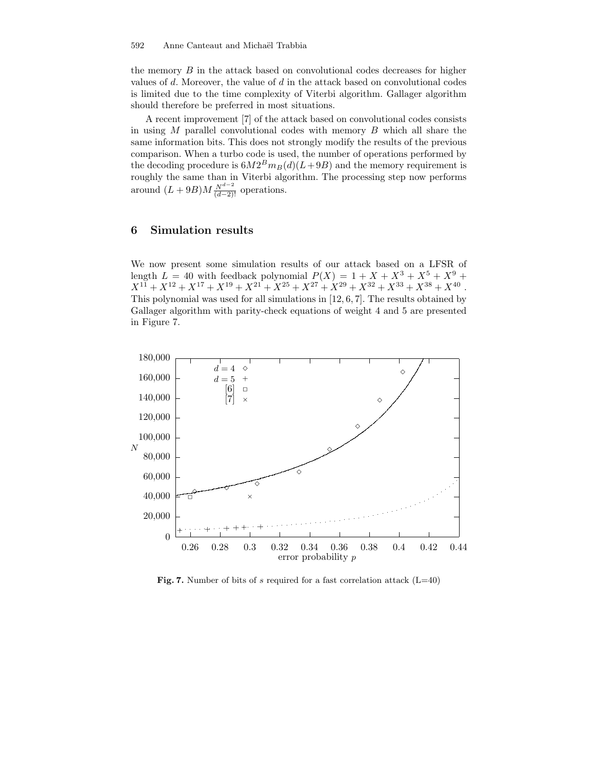the memory B in the attack based on convolutional codes decreases for higher values of  $d$ . Moreover, the value of  $d$  in the attack based on convolutional codes is limited due to the time complexity of Viterbi algorithm. Gallager algorithm should therefore be preferred in most situations.

A recent improvement [7] of the attack based on convolutional codes consists in using  $M$  parallel convolutional codes with memory  $B$  which all share the same information bits. This does not strongly modify the results of the previous comparison. When a turbo code is used, the number of operations performed by the decoding procedure is  $6M2<sup>B</sup>m<sub>B</sub>(d)(L+9B)$  and the memory requirement is roughly the same than in Viterbi algorithm. The processing step now performs around  $(L+9B)M\frac{N^{d-2}}{(d-2)!}$  operations.

### 6 Simulation results

We now present some simulation results of our attack based on a LFSR of length  $L = 40$  with feedback polynomial  $P(X) = 1 + X + X^3 + X^5 + X^9 +$  $X^{11} + X^{12} + X^{17} + X^{19} + X^{21} + X^{25} + X^{27} + X^{29} + X^{32} + X^{33} + X^{38} + X^{40}$ This polynomial was used for all simulations in [12, 6, 7]. The results obtained by Gallager algorithm with parity-check equations of weight 4 and 5 are presented in Figure 7.



Fig. 7. Number of bits of s required for a fast correlation attack  $(L=40)$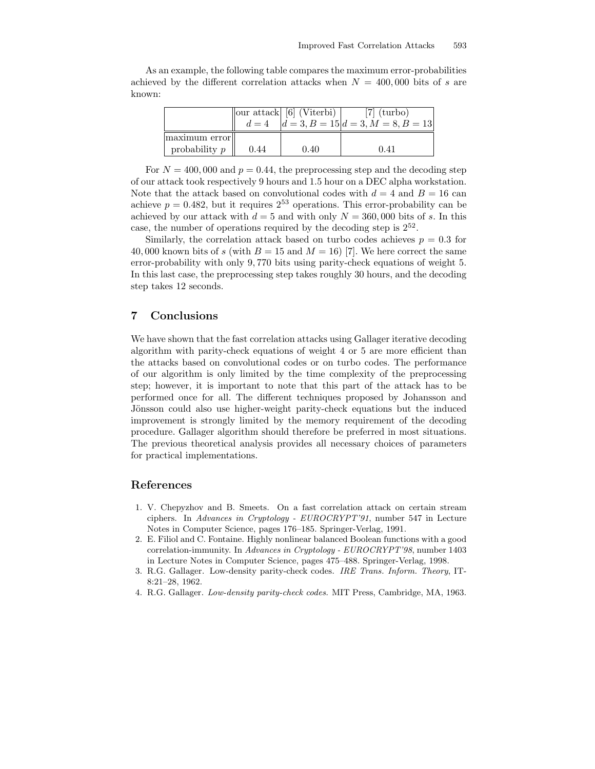|        |  | As an example, the following table compares the maximum error-probabilities    |  |  |  |  |
|--------|--|--------------------------------------------------------------------------------|--|--|--|--|
|        |  | achieved by the different correlation attacks when $N = 400,000$ bits of s are |  |  |  |  |
| known: |  |                                                                                |  |  |  |  |

|                                  | $d=4$ | $\vert$ our attack $\vert$ [6] (Viterbi) $\vert$ | $[7]$ (turbo)<br>$d = 3, B = 15$ $d = 3, M = 8, B = 13$ |
|----------------------------------|-------|--------------------------------------------------|---------------------------------------------------------|
| maximum error<br>probability $p$ | 0.44  | 0.40                                             | 0.41                                                    |

For  $N = 400,000$  and  $p = 0.44$ , the preprocessing step and the decoding step of our attack took respectively 9 hours and 1.5 hour on a DEC alpha workstation. Note that the attack based on convolutional codes with  $d = 4$  and  $B = 16$  can achieve  $p = 0.482$ , but it requires  $2^{53}$  operations. This error-probability can be achieved by our attack with  $d = 5$  and with only  $N = 360,000$  bits of s. In this case, the number of operations required by the decoding step is  $2^{52}$ .

Similarly, the correlation attack based on turbo codes achieves  $p = 0.3$  for 40,000 known bits of s (with  $B = 15$  and  $M = 16$ ) [7]. We here correct the same error-probability with only 9, 770 bits using parity-check equations of weight 5. In this last case, the preprocessing step takes roughly 30 hours, and the decoding step takes 12 seconds.

### 7 Conclusions

We have shown that the fast correlation attacks using Gallager iterative decoding algorithm with parity-check equations of weight 4 or 5 are more efficient than the attacks based on convolutional codes or on turbo codes. The performance of our algorithm is only limited by the time complexity of the preprocessing step; however, it is important to note that this part of the attack has to be performed once for all. The different techniques proposed by Johansson and Jönsson could also use higher-weight parity-check equations but the induced improvement is strongly limited by the memory requirement of the decoding procedure. Gallager algorithm should therefore be preferred in most situations. The previous theoretical analysis provides all necessary choices of parameters for practical implementations.

### References

- 1. V. Chepyzhov and B. Smeets. On a fast correlation attack on certain stream ciphers. In Advances in Cryptology - EUROCRYPT'91, number 547 in Lecture Notes in Computer Science, pages 176–185. Springer-Verlag, 1991.
- 2. E. Filiol and C. Fontaine. Highly nonlinear balanced Boolean functions with a good correlation-immunity. In Advances in Cryptology - EUROCRYPT'98, number 1403 in Lecture Notes in Computer Science, pages 475–488. Springer-Verlag, 1998.
- 3. R.G. Gallager. Low-density parity-check codes. IRE Trans. Inform. Theory, IT-8:21–28, 1962.
- 4. R.G. Gallager. Low-density parity-check codes. MIT Press, Cambridge, MA, 1963.